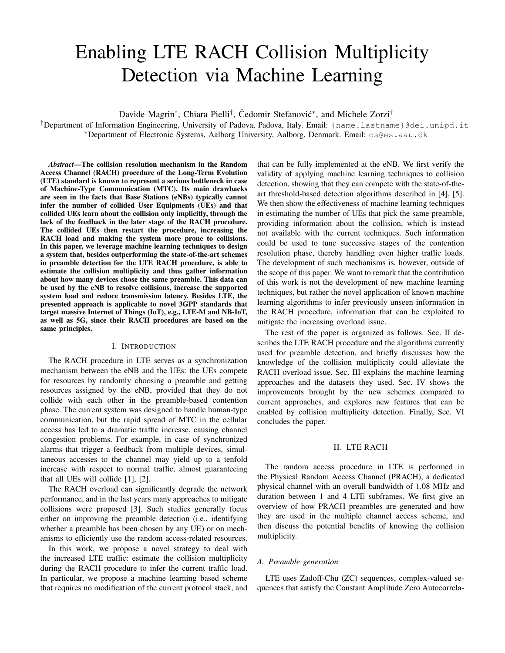# Enabling LTE RACH Collision Multiplicity Detection via Machine Learning

Davide Magrin<sup>†</sup>, Chiara Pielli<sup>†</sup>, Čedomir Stefanović\*, and Michele Zorzi<sup>†</sup>

†Department of Information Engineering, University of Padova, Padova, Italy. Email: {name.lastname}@dei.unipd.it <sup>∗</sup>Department of Electronic Systems, Aalborg University, Aalborg, Denmark. Email: cs@es.aau.dk

*Abstract*—The collision resolution mechanism in the Random Access Channel (RACH) procedure of the Long-Term Evolution (LTE) standard is known to represent a serious bottleneck in case of Machine-Type Communication (MTC). Its main drawbacks are seen in the facts that Base Stations (eNBs) typically cannot infer the number of collided User Equipments (UEs) and that collided UEs learn about the collision only implicitly, through the lack of the feedback in the later stage of the RACH procedure. The collided UEs then restart the procedure, increasing the RACH load and making the system more prone to collisions. In this paper, we leverage machine learning techniques to design a system that, besides outperforming the state-of-the-art schemes in preamble detection for the LTE RACH procedure, is able to estimate the collision multiplicity and thus gather information about how many devices chose the same preamble. This data can be used by the eNB to resolve collisions, increase the supported system load and reduce transmission latency. Besides LTE, the presented approach is applicable to novel 3GPP standards that target massive Internet of Things (IoT), e.g., LTE-M and NB-IoT, as well as 5G, since their RACH procedures are based on the same principles.

## I. INTRODUCTION

The RACH procedure in LTE serves as a synchronization mechanism between the eNB and the UEs: the UEs compete for resources by randomly choosing a preamble and getting resources assigned by the eNB, provided that they do not collide with each other in the preamble-based contention phase. The current system was designed to handle human-type communication, but the rapid spread of MTC in the cellular access has led to a dramatic traffic increase, causing channel congestion problems. For example, in case of synchronized alarms that trigger a feedback from multiple devices, simultaneous accesses to the channel may yield up to a tenfold increase with respect to normal traffic, almost guaranteeing that all UEs will collide [1], [2].

The RACH overload can significantly degrade the network performance, and in the last years many approaches to mitigate collisions were proposed [3]. Such studies generally focus either on improving the preamble detection (i.e., identifying whether a preamble has been chosen by any UE) or on mechanisms to efficiently use the random access-related resources.

In this work, we propose a novel strategy to deal with the increased LTE traffic: estimate the collision multiplicity during the RACH procedure to infer the current traffic load. In particular, we propose a machine learning based scheme that requires no modification of the current protocol stack, and that can be fully implemented at the eNB. We first verify the validity of applying machine learning techniques to collision detection, showing that they can compete with the state-of-theart threshold-based detection algorithms described in [4], [5]. We then show the effectiveness of machine learning techniques in estimating the number of UEs that pick the same preamble, providing information about the collision, which is instead not available with the current techniques. Such information could be used to tune successive stages of the contention resolution phase, thereby handling even higher traffic loads. The development of such mechanisms is, however, outside of the scope of this paper. We want to remark that the contribution of this work is not the development of new machine learning techniques, but rather the novel application of known machine learning algorithms to infer previously unseen information in the RACH procedure, information that can be exploited to mitigate the increasing overload issue.

The rest of the paper is organized as follows. Sec. II describes the LTE RACH procedure and the algorithms currently used for preamble detection, and briefly discusses how the knowledge of the collision multiplicity could alleviate the RACH overload issue. Sec. III explains the machine learning approaches and the datasets they used. Sec. IV shows the improvements brought by the new schemes compared to current approaches, and explores new features that can be enabled by collision multiplicity detection. Finally, Sec. VI concludes the paper.

## II. LTE RACH

The random access procedure in LTE is performed in the Physical Random Access Channel (PRACH), a dedicated physical channel with an overall bandwidth of 1.08 MHz and duration between 1 and 4 LTE subframes. We first give an overview of how PRACH preambles are generated and how they are used in the multiple channel access scheme, and then discuss the potential benefits of knowing the collision multiplicity.

## *A. Preamble generation*

LTE uses Zadoff-Chu (ZC) sequences, complex-valued sequences that satisfy the Constant Amplitude Zero Autocorrela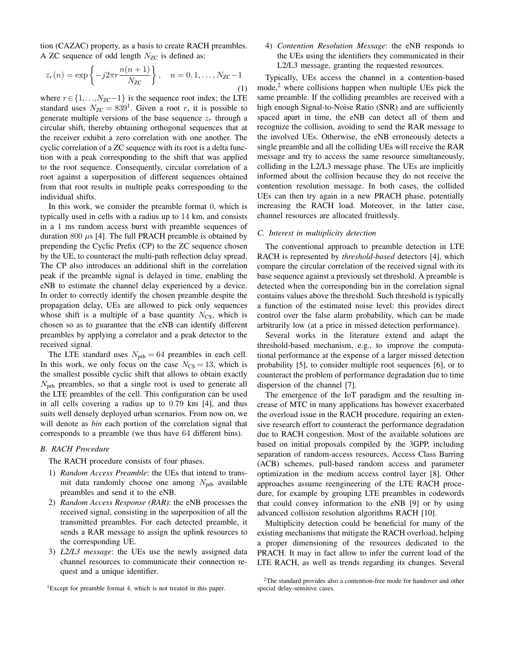tion (CAZAC) property, as a basis to create RACH preambles. A ZC sequence of odd length  $N_{ZC}$  is defined as:

$$
z_r(n) = \exp\left\{-j2\pi r \frac{n(n+1)}{N_{\text{ZC}}}\right\}, \quad n = 0, 1, \dots, N_{\text{ZC}} - 1
$$
\n(1)

where  $r \in \{1, \ldots, N_{\text{ZC}}-1\}$  is the sequence root index; the LTE standard uses  $N_{\text{ZC}} = 839^1$ . Given a root r, it is possible to generate multiple versions of the base sequence  $z_r$  through a circular shift, thereby obtaining orthogonal sequences that at the receiver exhibit a zero correlation with one another. The cyclic correlation of a ZC sequence with its root is a delta function with a peak corresponding to the shift that was applied to the root sequence. Consequently, circular correlation of a root against a superposition of different sequences obtained from that root results in multiple peaks corresponding to the individual shifts.

In this work, we consider the preamble format 0, which is typically used in cells with a radius up to 14 km, and consists in a 1 ms random access burst with preamble sequences of duration 800  $\mu$ s [4]. The full PRACH preamble is obtained by prepending the Cyclic Prefix (CP) to the ZC sequence chosen by the UE, to counteract the multi-path reflection delay spread. The CP also introduces an additional shift in the correlation peak if the preamble signal is delayed in time, enabling the eNB to estimate the channel delay experienced by a device. In order to correctly identify the chosen preamble despite the propagation delay, UEs are allowed to pick only sequences whose shift is a multiple of a base quantity  $N_{\text{CS}}$ , which is chosen so as to guarantee that the eNB can identify different preambles by applying a correlator and a peak detector to the received signal.

The LTE standard uses  $N_{\text{prb}} = 64$  preambles in each cell. In this work, we only focus on the case  $N_{\text{CS}} = 13$ , which is the smallest possible cyclic shift that allows to obtain exactly  $N<sub>prb</sub>$  preambles, so that a single root is used to generate all the LTE preambles of the cell. This configuration can be used in all cells covering a radius up to 0.79 km [4], and thus suits well densely deployed urban scenarios. From now on, we will denote as *bin* each portion of the correlation signal that corresponds to a preamble (we thus have 64 different bins).

## *B. RACH Procedure*

The RACH procedure consists of four phases.

- 1) *Random Access Preamble*: the UEs that intend to transmit data randomly choose one among  $N_{\text{prb}}$  available preambles and send it to the eNB.
- 2) *Random Access Response (RAR)*: the eNB processes the received signal, consisting in the superposition of all the transmitted preambles. For each detected preamble, it sends a RAR message to assign the uplink resources to the corresponding UE.
- 3) *L2/L3 message*: the UEs use the newly assigned data channel resources to communicate their connection request and a unique identifier.

<sup>1</sup>Except for preamble format 4, which is not treated in this paper.

4) *Contention Resolution Message*: the eNB responds to the UEs using the identifiers they communicated in their L2/L3 message, granting the requested resources.

Typically, UEs access the channel in a contention-based  $mode<sup>2</sup>$  where collisions happen when multiple UEs pick the same preamble. If the colliding preambles are received with a high enough Signal-to-Noise Ratio (SNR) and are sufficiently spaced apart in time, the eNB can detect all of them and recognize the collision, avoiding to send the RAR message to the involved UEs. Otherwise, the eNB erroneously detects a single preamble and all the colliding UEs will receive the RAR message and try to access the same resource simultaneously, colliding in the L2/L3 message phase. The UEs are implicitly informed about the collision because they do not receive the contention resolution message. In both cases, the collided UEs can then try again in a new PRACH phase, potentially increasing the RACH load. Moreover, in the latter case, channel resources are allocated fruitlessly.

#### *C. Interest in multiplicity detection*

The conventional approach to preamble detection in LTE RACH is represented by *threshold-based* detectors [4], which compare the circular correlation of the received signal with its base sequence against a previously set threshold. A preamble is detected when the corresponding bin in the correlation signal contains values above the threshold. Such threshold is typically a function of the estimated noise level: this provides direct control over the false alarm probability, which can be made arbitrarily low (at a price in missed detection performance).

Several works in the literature extend and adapt the threshold-based mechanism, e.g., to improve the computational performance at the expense of a larger missed detection probability [5], to consider multiple root sequences [6], or to counteract the problem of performance degradation due to time dispersion of the channel [7].

The emergence of the IoT paradigm and the resulting increase of MTC in many applications has however exacerbated the overload issue in the RACH procedure, requiring an extensive research effort to counteract the performance degradation due to RACH congestion. Most of the available solutions are based on initial proposals compiled by the 3GPP, including separation of random-access resources, Access Class Barring (ACB) schemes, pull-based random access and parameter optimization in the medium access control layer [8]. Other approaches assume reengineering of the LTE RACH procedure, for example by grouping LTE preambles in codewords that could convey information to the eNB [9] or by using advanced collision resolution algorithms RACH [10].

Multiplicity detection could be beneficial for many of the existing mechanisms that mitigate the RACH overload, helping a proper dimensioning of the resources dedicated to the PRACH. It may in fact allow to infer the current load of the LTE RACH, as well as trends regarding its changes. Several

<sup>&</sup>lt;sup>2</sup>The standard provides also a contention-free mode for handover and other special delay-sensitive cases.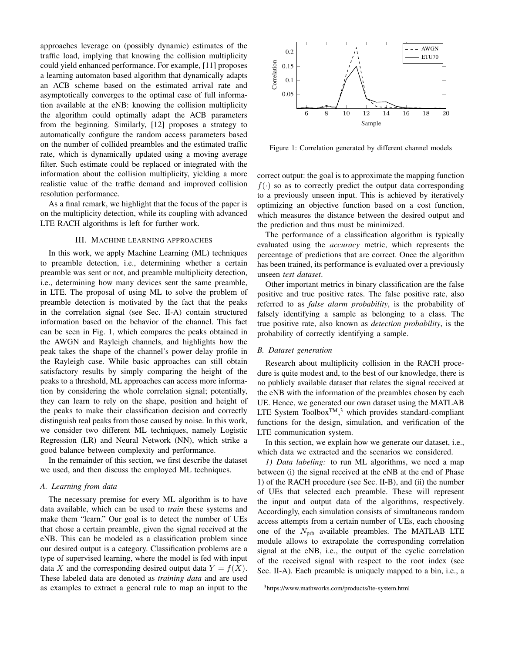approaches leverage on (possibly dynamic) estimates of the traffic load, implying that knowing the collision multiplicity could yield enhanced performance. For example, [11] proposes a learning automaton based algorithm that dynamically adapts an ACB scheme based on the estimated arrival rate and asymptotically converges to the optimal case of full information available at the eNB: knowing the collision multiplicity the algorithm could optimally adapt the ACB parameters from the beginning. Similarly, [12] proposes a strategy to automatically configure the random access parameters based on the number of collided preambles and the estimated traffic rate, which is dynamically updated using a moving average filter. Such estimate could be replaced or integrated with the information about the collision multiplicity, yielding a more realistic value of the traffic demand and improved collision resolution performance.

As a final remark, we highlight that the focus of the paper is on the multiplicity detection, while its coupling with advanced LTE RACH algorithms is left for further work.

## III. MACHINE LEARNING APPROACHES

In this work, we apply Machine Learning (ML) techniques to preamble detection, i.e., determining whether a certain preamble was sent or not, and preamble multiplicity detection, i.e., determining how many devices sent the same preamble, in LTE. The proposal of using ML to solve the problem of preamble detection is motivated by the fact that the peaks in the correlation signal (see Sec. II-A) contain structured information based on the behavior of the channel. This fact can be seen in Fig. 1, which compares the peaks obtained in the AWGN and Rayleigh channels, and highlights how the peak takes the shape of the channel's power delay profile in the Rayleigh case. While basic approaches can still obtain satisfactory results by simply comparing the height of the peaks to a threshold, ML approaches can access more information by considering the whole correlation signal; potentially, they can learn to rely on the shape, position and height of the peaks to make their classification decision and correctly distinguish real peaks from those caused by noise. In this work, we consider two different ML techniques, namely Logistic Regression (LR) and Neural Network (NN), which strike a good balance between complexity and performance.

In the remainder of this section, we first describe the dataset we used, and then discuss the employed ML techniques.

## *A. Learning from data*

The necessary premise for every ML algorithm is to have data available, which can be used to *train* these systems and make them "learn." Our goal is to detect the number of UEs that chose a certain preamble, given the signal received at the eNB. This can be modeled as a classification problem since our desired output is a category. Classification problems are a type of supervised learning, where the model is fed with input data X and the corresponding desired output data  $Y = f(X)$ . These labeled data are denoted as *training data* and are used as examples to extract a general rule to map an input to the



Figure 1: Correlation generated by different channel models

correct output: the goal is to approximate the mapping function  $f(\cdot)$  so as to correctly predict the output data corresponding to a previously unseen input. This is achieved by iteratively optimizing an objective function based on a cost function, which measures the distance between the desired output and the prediction and thus must be minimized.

The performance of a classification algorithm is typically evaluated using the *accuracy* metric, which represents the percentage of predictions that are correct. Once the algorithm has been trained, its performance is evaluated over a previously unseen *test dataset*.

Other important metrics in binary classification are the false positive and true positive rates. The false positive rate, also referred to as *false alarm probability*, is the probability of falsely identifying a sample as belonging to a class. The true positive rate, also known as *detection probability*, is the probability of correctly identifying a sample.

#### *B. Dataset generation*

Research about multiplicity collision in the RACH procedure is quite modest and, to the best of our knowledge, there is no publicly available dataset that relates the signal received at the eNB with the information of the preambles chosen by each UE. Hence, we generated our own dataset using the MATLAB LTE System Toolbox<sup>TM</sup>,<sup>3</sup> which provides standard-compliant functions for the design, simulation, and verification of the LTE communication system.

In this section, we explain how we generate our dataset, i.e., which data we extracted and the scenarios we considered.

*1) Data labeling:* to run ML algorithms, we need a map between (i) the signal received at the eNB at the end of Phase 1) of the RACH procedure (see Sec. II-B), and (ii) the number of UEs that selected each preamble. These will represent the input and output data of the algorithms, respectively. Accordingly, each simulation consists of simultaneous random access attempts from a certain number of UEs, each choosing one of the  $N_{\text{prb}}$  available preambles. The MATLAB LTE module allows to extrapolate the corresponding correlation signal at the eNB, i.e., the output of the cyclic correlation of the received signal with respect to the root index (see Sec. II-A). Each preamble is uniquely mapped to a bin, i.e., a

<sup>3</sup>https://www.mathworks.com/products/lte-system.html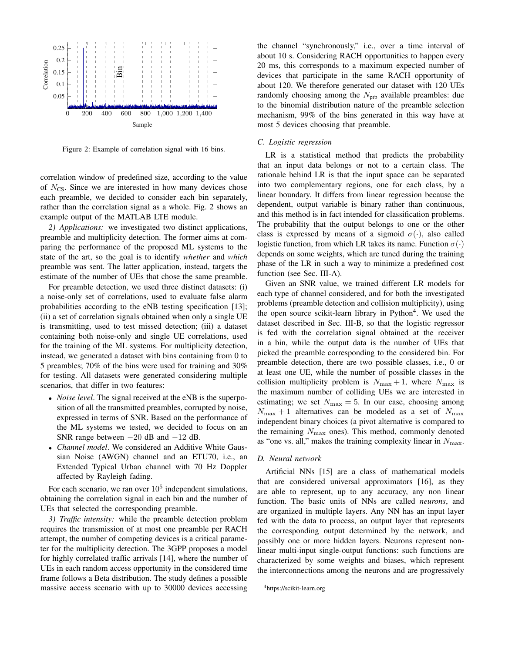

Figure 2: Example of correlation signal with 16 bins.

correlation window of predefined size, according to the value of  $N_{\text{CS}}$ . Since we are interested in how many devices chose each preamble, we decided to consider each bin separately, rather than the correlation signal as a whole. Fig. 2 shows an example output of the MATLAB LTE module.

*2) Applications:* we investigated two distinct applications, preamble and multiplicity detection. The former aims at comparing the performance of the proposed ML systems to the state of the art, so the goal is to identify *whether* and *which* preamble was sent. The latter application, instead, targets the estimate of the number of UEs that chose the same preamble.

For preamble detection, we used three distinct datasets: (i) a noise-only set of correlations, used to evaluate false alarm probabilities according to the eNB testing specification [13]; (ii) a set of correlation signals obtained when only a single UE is transmitting, used to test missed detection; (iii) a dataset containing both noise-only and single UE correlations, used for the training of the ML systems. For multiplicity detection, instead, we generated a dataset with bins containing from 0 to 5 preambles; 70% of the bins were used for training and 30% for testing. All datasets were generated considering multiple scenarios, that differ in two features:

- *Noise level*. The signal received at the eNB is the superposition of all the transmitted preambles, corrupted by noise, expressed in terms of SNR. Based on the performance of the ML systems we tested, we decided to focus on an SNR range between  $-20$  dB and  $-12$  dB.
- *Channel model*. We considered an Additive White Gaussian Noise (AWGN) channel and an ETU70, i.e., an Extended Typical Urban channel with 70 Hz Doppler affected by Rayleigh fading.

For each scenario, we ran over  $10^5$  independent simulations, obtaining the correlation signal in each bin and the number of UEs that selected the corresponding preamble.

*3) Traffic intensity:* while the preamble detection problem requires the transmission of at most one preamble per RACH attempt, the number of competing devices is a critical parameter for the multiplicity detection. The 3GPP proposes a model for highly correlated traffic arrivals [14], where the number of UEs in each random access opportunity in the considered time frame follows a Beta distribution. The study defines a possible massive access scenario with up to 30000 devices accessing the channel "synchronously," i.e., over a time interval of about 10 s. Considering RACH opportunities to happen every 20 ms, this corresponds to a maximum expected number of devices that participate in the same RACH opportunity of about 120. We therefore generated our dataset with 120 UEs randomly choosing among the  $N_{\text{prb}}$  available preambles: due to the binomial distribution nature of the preamble selection mechanism, 99% of the bins generated in this way have at most 5 devices choosing that preamble.

#### *C. Logistic regression*

LR is a statistical method that predicts the probability that an input data belongs or not to a certain class. The rationale behind LR is that the input space can be separated into two complementary regions, one for each class, by a linear boundary. It differs from linear regression because the dependent, output variable is binary rather than continuous, and this method is in fact intended for classification problems. The probability that the output belongs to one or the other class is expressed by means of a sigmoid  $\sigma(\cdot)$ , also called logistic function, from which LR takes its name. Function  $\sigma(\cdot)$ depends on some weights, which are tuned during the training phase of the LR in such a way to minimize a predefined cost function (see Sec. III-A).

Given an SNR value, we trained different LR models for each type of channel considered, and for both the investigated problems (preamble detection and collision multiplicity), using the open source scikit-learn library in Python<sup>4</sup>. We used the dataset described in Sec. III-B, so that the logistic regressor is fed with the correlation signal obtained at the receiver in a bin, while the output data is the number of UEs that picked the preamble corresponding to the considered bin. For preamble detection, there are two possible classes, i.e., 0 or at least one UE, while the number of possible classes in the collision multiplicity problem is  $N_{\text{max}} + 1$ , where  $N_{\text{max}}$  is the maximum number of colliding UEs we are interested in estimating; we set  $N_{\text{max}} = 5$ . In our case, choosing among  $N_{\text{max}} + 1$  alternatives can be modeled as a set of  $N_{\text{max}}$ independent binary choices (a pivot alternative is compared to the remaining  $N_{\text{max}}$  ones). This method, commonly denoted as "one vs. all," makes the training complexity linear in  $N_{\text{max}}$ .

## *D. Neural network*

Artificial NNs [15] are a class of mathematical models that are considered universal approximators [16], as they are able to represent, up to any accuracy, any non linear function. The basic units of NNs are called *neurons*, and are organized in multiple layers. Any NN has an input layer fed with the data to process, an output layer that represents the corresponding output determined by the network, and possibly one or more hidden layers. Neurons represent nonlinear multi-input single-output functions: such functions are characterized by some weights and biases, which represent the interconnections among the neurons and are progressively

<sup>4</sup>https://scikit-learn.org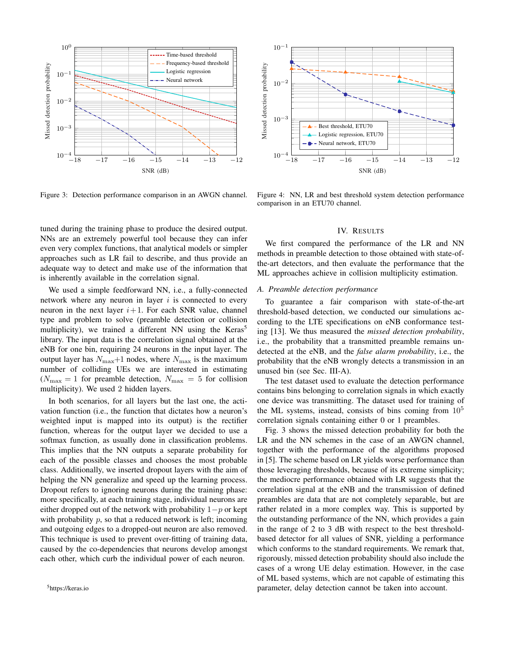

Figure 3: Detection performance comparison in an AWGN channel.

tuned during the training phase to produce the desired output. NNs are an extremely powerful tool because they can infer even very complex functions, that analytical models or simpler approaches such as LR fail to describe, and thus provide an adequate way to detect and make use of the information that is inherently available in the correlation signal.

We used a simple feedforward NN, i.e., a fully-connected network where any neuron in layer  $i$  is connected to every neuron in the next layer  $i+1$ . For each SNR value, channel type and problem to solve (preamble detection or collision multiplicity), we trained a different NN using the  $Keras<sup>5</sup>$ library. The input data is the correlation signal obtained at the eNB for one bin, requiring 24 neurons in the input layer. The output layer has  $N_{\text{max}}+1$  nodes, where  $N_{\text{max}}$  is the maximum number of colliding UEs we are interested in estimating  $(N_{\text{max}} = 1$  for preamble detection,  $N_{\text{max}} = 5$  for collision multiplicity). We used 2 hidden layers.

In both scenarios, for all layers but the last one, the activation function (i.e., the function that dictates how a neuron's weighted input is mapped into its output) is the rectifier function, whereas for the output layer we decided to use a softmax function, as usually done in classification problems. This implies that the NN outputs a separate probability for each of the possible classes and chooses the most probable class. Additionally, we inserted dropout layers with the aim of helping the NN generalize and speed up the learning process. Dropout refers to ignoring neurons during the training phase: more specifically, at each training stage, individual neurons are either dropped out of the network with probability  $1-p$  or kept with probability  $p$ , so that a reduced network is left; incoming and outgoing edges to a dropped-out neuron are also removed. This technique is used to prevent over-fitting of training data, caused by the co-dependencies that neurons develop amongst each other, which curb the individual power of each neuron.



Figure 4: NN, LR and best threshold system detection performance comparison in an ETU70 channel.

### IV. RESULTS

We first compared the performance of the LR and NN methods in preamble detection to those obtained with state-ofthe-art detectors, and then evaluate the performance that the ML approaches achieve in collision multiplicity estimation.

## *A. Preamble detection performance*

To guarantee a fair comparison with state-of-the-art threshold-based detection, we conducted our simulations according to the LTE specifications on eNB conformance testing [13]. We thus measured the *missed detection probability*, i.e., the probability that a transmitted preamble remains undetected at the eNB, and the *false alarm probability*, i.e., the probability that the eNB wrongly detects a transmission in an unused bin (see Sec. III-A).

The test dataset used to evaluate the detection performance contains bins belonging to correlation signals in which exactly one device was transmitting. The dataset used for training of the ML systems, instead, consists of bins coming from  $10<sup>5</sup>$ correlation signals containing either 0 or 1 preambles.

Fig. 3 shows the missed detection probability for both the LR and the NN schemes in the case of an AWGN channel, together with the performance of the algorithms proposed in [5]. The scheme based on LR yields worse performance than those leveraging thresholds, because of its extreme simplicity; the mediocre performance obtained with LR suggests that the correlation signal at the eNB and the transmission of defined preambles are data that are not completely separable, but are rather related in a more complex way. This is supported by the outstanding performance of the NN, which provides a gain in the range of 2 to 3 dB with respect to the best thresholdbased detector for all values of SNR, yielding a performance which conforms to the standard requirements. We remark that, rigorously, missed detection probability should also include the cases of a wrong UE delay estimation. However, in the case of ML based systems, which are not capable of estimating this parameter, delay detection cannot be taken into account.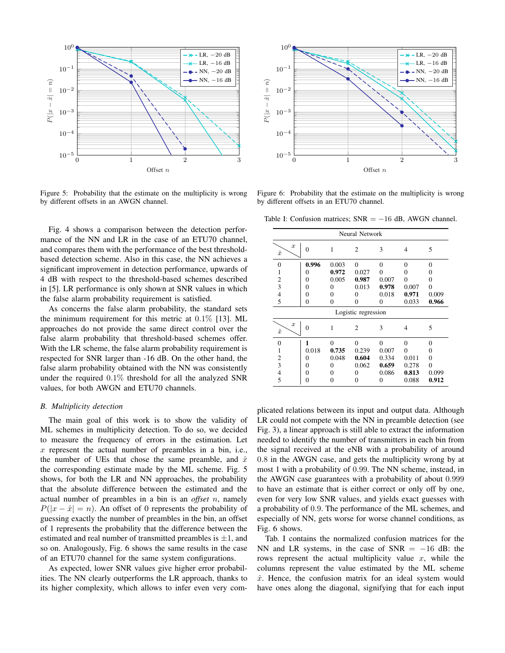

Figure 5: Probability that the estimate on the multiplicity is wrong by different offsets in an AWGN channel.

Fig. 4 shows a comparison between the detection performance of the NN and LR in the case of an ETU70 channel, and compares them with the performance of the best thresholdbased detection scheme. Also in this case, the NN achieves a significant improvement in detection performance, upwards of 4 dB with respect to the threshold-based schemes described in [5]. LR performance is only shown at SNR values in which the false alarm probability requirement is satisfied.

As concerns the false alarm probability, the standard sets the minimum requirement for this metric at  $0.1\%$  [13]. ML approaches do not provide the same direct control over the false alarm probability that threshold-based schemes offer. With the LR scheme, the false alarm probability requirement is respected for SNR larger than -16 dB. On the other hand, the false alarm probability obtained with the NN was consistently under the required 0.1% threshold for all the analyzed SNR values, for both AWGN and ETU70 channels.

## *B. Multiplicity detection*

The main goal of this work is to show the validity of ML schemes in multiplicity detection. To do so, we decided to measure the frequency of errors in the estimation. Let  $x$  represent the actual number of preambles in a bin, i.e., the number of UEs that chose the same preamble, and  $\hat{x}$ the corresponding estimate made by the ML scheme. Fig. 5 shows, for both the LR and NN approaches, the probability that the absolute difference between the estimated and the actual number of preambles in a bin is an *offset* n, namely  $P(|x - \hat{x}| = n)$ . An offset of 0 represents the probability of guessing exactly the number of preambles in the bin, an offset of 1 represents the probability that the difference between the estimated and real number of transmitted preambles is  $\pm 1$ , and so on. Analogously, Fig. 6 shows the same results in the case of an ETU70 channel for the same system configurations.

As expected, lower SNR values give higher error probabilities. The NN clearly outperforms the LR approach, thanks to its higher complexity, which allows to infer even very com-



Figure 6: Probability that the estimate on the multiplicity is wrong by different offsets in an ETU70 channel.

Table I: Confusion matrices;  $SNR = -16$  dB, AWGN channel.

| Neural Network                |                |          |                |                |          |          |
|-------------------------------|----------------|----------|----------------|----------------|----------|----------|
| $\boldsymbol{x}$<br>$\hat{x}$ | $\overline{0}$ | 1        | $\overline{2}$ | 3              | 4        | 5        |
| $\overline{0}$                | 0.996          | 0.003    | $\overline{0}$ | $\overline{0}$ | $\theta$ | $\theta$ |
| 1                             | 0              | 0.972    | 0.027          | 0              | 0        | 0        |
| $\overline{2}$                | 0              | 0.005    | 0.987          | 0.007          | $\theta$ | $\theta$ |
| $\overline{3}$                | 0              | 0        | 0.013          | 0.978          | 0.007    | $\theta$ |
| $\overline{4}$                | 0              | 0        | 0              | 0.018          | 0.971    | 0.009    |
| 5                             | 0              | $\theta$ | $\theta$       | 0              | 0.033    | 0.966    |
| Logistic regression           |                |          |                |                |          |          |
| $\boldsymbol{x}$<br>$\hat{x}$ | $\theta$       | 1        | $\overline{c}$ | 3              | 4        | 5        |
| $\Omega$                      | 1              | $\Omega$ | $\theta$       | $\theta$       | $\theta$ | $\theta$ |
| 1                             | 0.018          | 0.735    | 0.239          | 0.007          | $\theta$ | 0        |
| $\overline{2}$                | 0              | 0.048    | 0.604          | 0.334          | 0.011    | 0        |
| $\overline{3}$                | 0              | 0        | 0.062          | 0.659          | 0.278    | $\Omega$ |
| $\overline{\mathcal{L}}$      | 0              | 0        | 0              | 0.086          | 0.813    | 0.099    |
| 5                             | 0              | 0        | $\Omega$       | 0              | 0.088    | 0.912    |

plicated relations between its input and output data. Although LR could not compete with the NN in preamble detection (see Fig. 3), a linear approach is still able to extract the information needed to identify the number of transmitters in each bin from the signal received at the eNB with a probability of around 0.8 in the AWGN case, and gets the multiplicity wrong by at most 1 with a probability of 0.99. The NN scheme, instead, in the AWGN case guarantees with a probability of about 0.999 to have an estimate that is either correct or only off by one, even for very low SNR values, and yields exact guesses with a probability of 0.9. The performance of the ML schemes, and especially of NN, gets worse for worse channel conditions, as Fig. 6 shows.

Tab. I contains the normalized confusion matrices for the NN and LR systems, in the case of  $SNR = -16$  dB: the rows represent the actual multiplicity value  $x$ , while the columns represent the value estimated by the ML scheme  $\hat{x}$ . Hence, the confusion matrix for an ideal system would have ones along the diagonal, signifying that for each input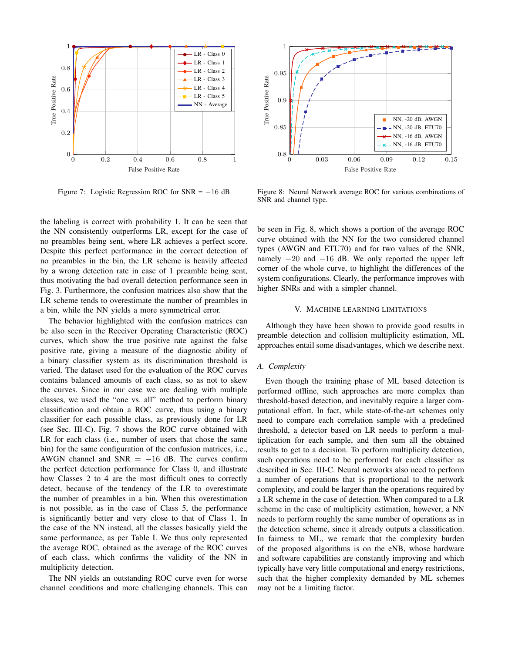

Figure 7: Logistic Regression ROC for  $SNR = -16$  dB

the labeling is correct with probability 1. It can be seen that the NN consistently outperforms LR, except for the case of no preambles being sent, where LR achieves a perfect score. Despite this perfect performance in the correct detection of no preambles in the bin, the LR scheme is heavily affected by a wrong detection rate in case of 1 preamble being sent, thus motivating the bad overall detection performance seen in Fig. 3. Furthermore, the confusion matrices also show that the LR scheme tends to overestimate the number of preambles in a bin, while the NN yields a more symmetrical error.

The behavior highlighted with the confusion matrices can be also seen in the Receiver Operating Characteristic (ROC) curves, which show the true positive rate against the false positive rate, giving a measure of the diagnostic ability of a binary classifier system as its discrimination threshold is varied. The dataset used for the evaluation of the ROC curves contains balanced amounts of each class, so as not to skew the curves. Since in our case we are dealing with multiple classes, we used the "one vs. all" method to perform binary classification and obtain a ROC curve, thus using a binary classifier for each possible class, as previously done for LR (see Sec. III-C). Fig. 7 shows the ROC curve obtained with LR for each class (i.e., number of users that chose the same bin) for the same configuration of the confusion matrices, i.e., AWGN channel and  $SNR = -16$  dB. The curves confirm the perfect detection performance for Class 0, and illustrate how Classes 2 to 4 are the most difficult ones to correctly detect, because of the tendency of the LR to overestimate the number of preambles in a bin. When this overestimation is not possible, as in the case of Class 5, the performance is significantly better and very close to that of Class 1. In the case of the NN instead, all the classes basically yield the same performance, as per Table I. We thus only represented the average ROC, obtained as the average of the ROC curves of each class, which confirms the validity of the NN in multiplicity detection.

The NN yields an outstanding ROC curve even for worse channel conditions and more challenging channels. This can



Figure 8: Neural Network average ROC for various combinations of SNR and channel type.

be seen in Fig. 8, which shows a portion of the average ROC curve obtained with the NN for the two considered channel types (AWGN and ETU70) and for two values of the SNR, namely  $-20$  and  $-16$  dB. We only reported the upper left corner of the whole curve, to highlight the differences of the system configurations. Clearly, the performance improves with higher SNRs and with a simpler channel.

## V. MACHINE LEARNING LIMITATIONS

Although they have been shown to provide good results in preamble detection and collision multiplicity estimation, ML approaches entail some disadvantages, which we describe next.

## *A. Complexity*

Even though the training phase of ML based detection is performed offline, such approaches are more complex than threshold-based detection, and inevitably require a larger computational effort. In fact, while state-of-the-art schemes only need to compare each correlation sample with a predefined threshold, a detector based on LR needs to perform a multiplication for each sample, and then sum all the obtained results to get to a decision. To perform multiplicity detection, such operations need to be performed for each classifier as described in Sec. III-C. Neural networks also need to perform a number of operations that is proportional to the network complexity, and could be larger than the operations required by a LR scheme in the case of detection. When compared to a LR scheme in the case of multiplicity estimation, however, a NN needs to perform roughly the same number of operations as in the detection scheme, since it already outputs a classification. In fairness to ML, we remark that the complexity burden of the proposed algorithms is on the eNB, whose hardware and software capabilities are constantly improving and which typically have very little computational and energy restrictions, such that the higher complexity demanded by ML schemes may not be a limiting factor.